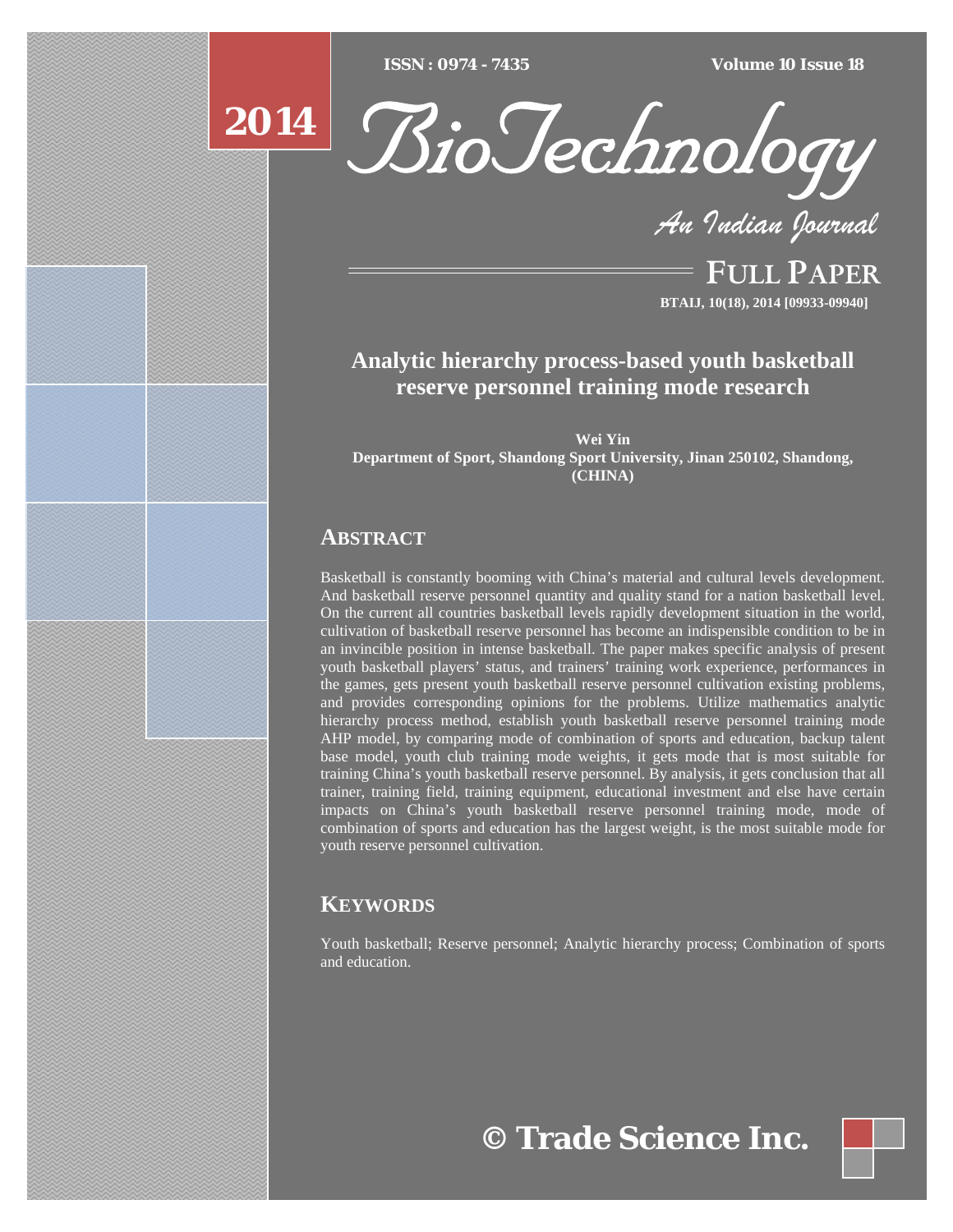$ISSN : 0974 - 7435$ 

*ISSN : 0974 - 7435 Volume 10 Issue 18*

# **2014**



*An Indian Journal*

FULL PAPER **BTAIJ, 10(18), 2014 [09933-09940]**

# **Analytic hierarchy process-based youth basketball reserve personnel training mode research**

**Wei Yin Department of Sport, Shandong Sport University, Jinan 250102, Shandong, (CHINA)** 

## **ABSTRACT**

Basketball is constantly booming with China's material and cultural levels development. And basketball reserve personnel quantity and quality stand for a nation basketball level. On the current all countries basketball levels rapidly development situation in the world, cultivation of basketball reserve personnel has become an indispensible condition to be in an invincible position in intense basketball. The paper makes specific analysis of present youth basketball players' status, and trainers' training work experience, performances in the games, gets present youth basketball reserve personnel cultivation existing problems, and provides corresponding opinions for the problems. Utilize mathematics analytic hierarchy process method, establish youth basketball reserve personnel training mode AHP model, by comparing mode of combination of sports and education, backup talent base model, youth club training mode weights, it gets mode that is most suitable for training China's youth basketball reserve personnel. By analysis, it gets conclusion that all trainer, training field, training equipment, educational investment and else have certain impacts on China's youth basketball reserve personnel training mode, mode of combination of sports and education has the largest weight, is the most suitable mode for youth reserve personnel cultivation.

# **KEYWORDS**

Youth basketball; Reserve personnel; Analytic hierarchy process; Combination of sports and education.

**© Trade Science Inc.**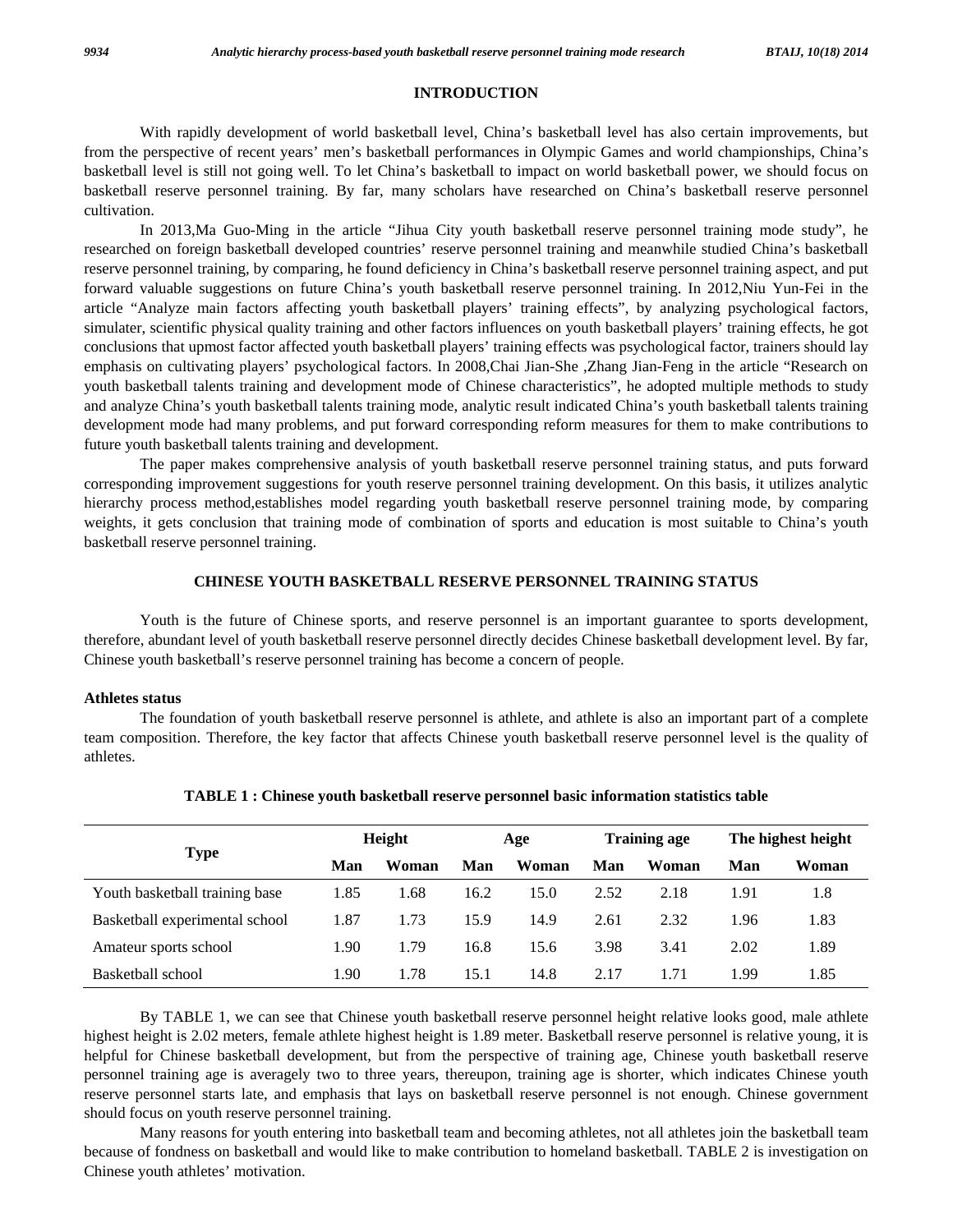#### **INTRODUCTION**

 With rapidly development of world basketball level, China's basketball level has also certain improvements, but from the perspective of recent years' men's basketball performances in Olympic Games and world championships, China's basketball level is still not going well. To let China's basketball to impact on world basketball power, we should focus on basketball reserve personnel training. By far, many scholars have researched on China's basketball reserve personnel cultivation.

 In 2013,Ma Guo-Ming in the article "Jihua City youth basketball reserve personnel training mode study", he researched on foreign basketball developed countries' reserve personnel training and meanwhile studied China's basketball reserve personnel training, by comparing, he found deficiency in China's basketball reserve personnel training aspect, and put forward valuable suggestions on future China's youth basketball reserve personnel training. In 2012,Niu Yun-Fei in the article "Analyze main factors affecting youth basketball players' training effects", by analyzing psychological factors, simulater, scientific physical quality training and other factors influences on youth basketball players' training effects, he got conclusions that upmost factor affected youth basketball players' training effects was psychological factor, trainers should lay emphasis on cultivating players' psychological factors. In 2008,Chai Jian-She ,Zhang Jian-Feng in the article "Research on youth basketball talents training and development mode of Chinese characteristics", he adopted multiple methods to study and analyze China's youth basketball talents training mode, analytic result indicated China's youth basketball talents training development mode had many problems, and put forward corresponding reform measures for them to make contributions to future youth basketball talents training and development.

 The paper makes comprehensive analysis of youth basketball reserve personnel training status, and puts forward corresponding improvement suggestions for youth reserve personnel training development. On this basis, it utilizes analytic hierarchy process method,establishes model regarding youth basketball reserve personnel training mode, by comparing weights, it gets conclusion that training mode of combination of sports and education is most suitable to China's youth basketball reserve personnel training.

#### **CHINESE YOUTH BASKETBALL RESERVE PERSONNEL TRAINING STATUS**

 Youth is the future of Chinese sports, and reserve personnel is an important guarantee to sports development, therefore, abundant level of youth basketball reserve personnel directly decides Chinese basketball development level. By far, Chinese youth basketball's reserve personnel training has become a concern of people.

#### **Athletes status**

 The foundation of youth basketball reserve personnel is athlete, and athlete is also an important part of a complete team composition. Therefore, the key factor that affects Chinese youth basketball reserve personnel level is the quality of athletes.

|                                | Height |       | Age  |       | <b>Training age</b> |       | The highest height |       |
|--------------------------------|--------|-------|------|-------|---------------------|-------|--------------------|-------|
| Type                           | Man    | Woman | Man  | Woman | Man                 | Woman | Man                | Woman |
| Youth basketball training base | 1.85   | 1.68  | 16.2 | 15.0  | 2.52                | 2.18  | 1.91               | 1.8   |
| Basketball experimental school | 1.87   | 1.73  | 15.9 | 14.9  | 2.61                | 2.32  | 1.96               | 1.83  |
| Amateur sports school          | 1.90   | 1.79  | 16.8 | 15.6  | 3.98                | 3.41  | 2.02               | 1.89  |
| Basketball school              | 1.90   | 1.78  | 15.1 | 14.8  | 2.17                | 1.71  | 1.99               | 1.85  |

#### **TABLE 1 : Chinese youth basketball reserve personnel basic information statistics table**

 By TABLE 1, we can see that Chinese youth basketball reserve personnel height relative looks good, male athlete highest height is 2.02 meters, female athlete highest height is 1.89 meter. Basketball reserve personnel is relative young, it is helpful for Chinese basketball development, but from the perspective of training age, Chinese youth basketball reserve personnel training age is averagely two to three years, thereupon, training age is shorter, which indicates Chinese youth reserve personnel starts late, and emphasis that lays on basketball reserve personnel is not enough. Chinese government should focus on youth reserve personnel training.

 Many reasons for youth entering into basketball team and becoming athletes, not all athletes join the basketball team because of fondness on basketball and would like to make contribution to homeland basketball. TABLE 2 is investigation on Chinese youth athletes' motivation.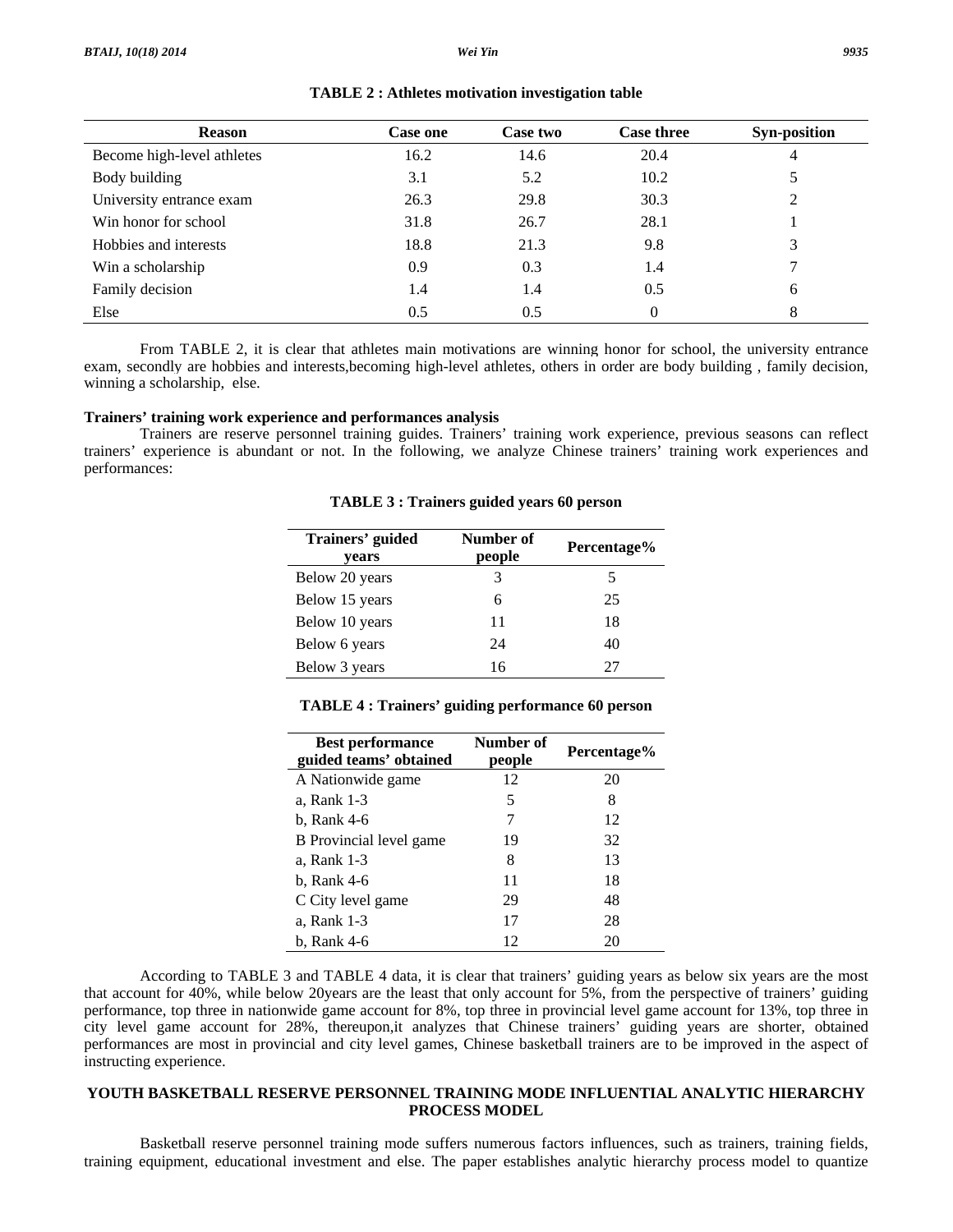| <b>Reason</b>              | <b>Case one</b> | Case two | <b>Case three</b> | <b>Syn-position</b> |
|----------------------------|-----------------|----------|-------------------|---------------------|
| Become high-level athletes | 16.2            | 14.6     | 20.4              | 4                   |
| Body building              | 3.1             | 5.2      | 10.2              | 5                   |
| University entrance exam   | 26.3            | 29.8     | 30.3              | 2                   |
| Win honor for school       | 31.8            | 26.7     | 28.1              |                     |
| Hobbies and interests      | 18.8            | 21.3     | 9.8               | 3                   |
| Win a scholarship          | 0.9             | 0.3      | 1.4               | 7                   |
| Family decision            | 1.4             | 1.4      | 0.5               | 6                   |
| Else                       | 0.5             | 0.5      | $\theta$          | 8                   |

**TABLE 2 : Athletes motivation investigation table** 

From TABLE 2, it is clear that athletes main motivations are winning honor for school, the university entrance exam, secondly are hobbies and interests,becoming high-level athletes, others in order are body building , family decision, winning a scholarship, else.

#### **Trainers' training work experience and performances analysis**

 Trainers are reserve personnel training guides. Trainers' training work experience, previous seasons can reflect trainers' experience is abundant or not. In the following, we analyze Chinese trainers' training work experiences and performances:

| Trainers' guided<br>years | Number of<br>people | Percentage% |
|---------------------------|---------------------|-------------|
| Below 20 years            | 3                   | 5           |
| Below 15 years            | 6                   | 25          |
| Below 10 years            | 11                  | 18          |
| Below 6 years             | 24                  | 40          |
| Below 3 years             | 16                  | 27          |

**TABLE 3 : Trainers guided years 60 person** 

|  |  | TABLE 4 : Trainers' guiding performance 60 person |
|--|--|---------------------------------------------------|
|--|--|---------------------------------------------------|

| <b>Best performance</b><br>guided teams' obtained | Number of<br>people | Percentage% |
|---------------------------------------------------|---------------------|-------------|
| A Nationwide game                                 | 12                  | 20          |
| a, Rank 1-3                                       | 5                   | 8           |
| b, Rank 4-6                                       | 7                   | 12          |
| B Provincial level game                           | 19                  | 32          |
| a, Rank 1-3                                       | 8                   | 13          |
| b, Rank 4-6                                       | 11                  | 18          |
| C City level game                                 | 29                  | 48          |
| a, Rank 1-3                                       | 17                  | 28          |
| b, Rank 4-6                                       | 12                  | 20          |

 According to TABLE 3 and TABLE 4 data, it is clear that trainers' guiding years as below six years are the most that account for 40%, while below 20years are the least that only account for 5%, from the perspective of trainers' guiding performance, top three in nationwide game account for 8%, top three in provincial level game account for 13%, top three in city level game account for 28%, thereupon,it analyzes that Chinese trainers' guiding years are shorter, obtained performances are most in provincial and city level games, Chinese basketball trainers are to be improved in the aspect of instructing experience.

#### **YOUTH BASKETBALL RESERVE PERSONNEL TRAINING MODE INFLUENTIAL ANALYTIC HIERARCHY PROCESS MODEL**

 Basketball reserve personnel training mode suffers numerous factors influences, such as trainers, training fields, training equipment, educational investment and else. The paper establishes analytic hierarchy process model to quantize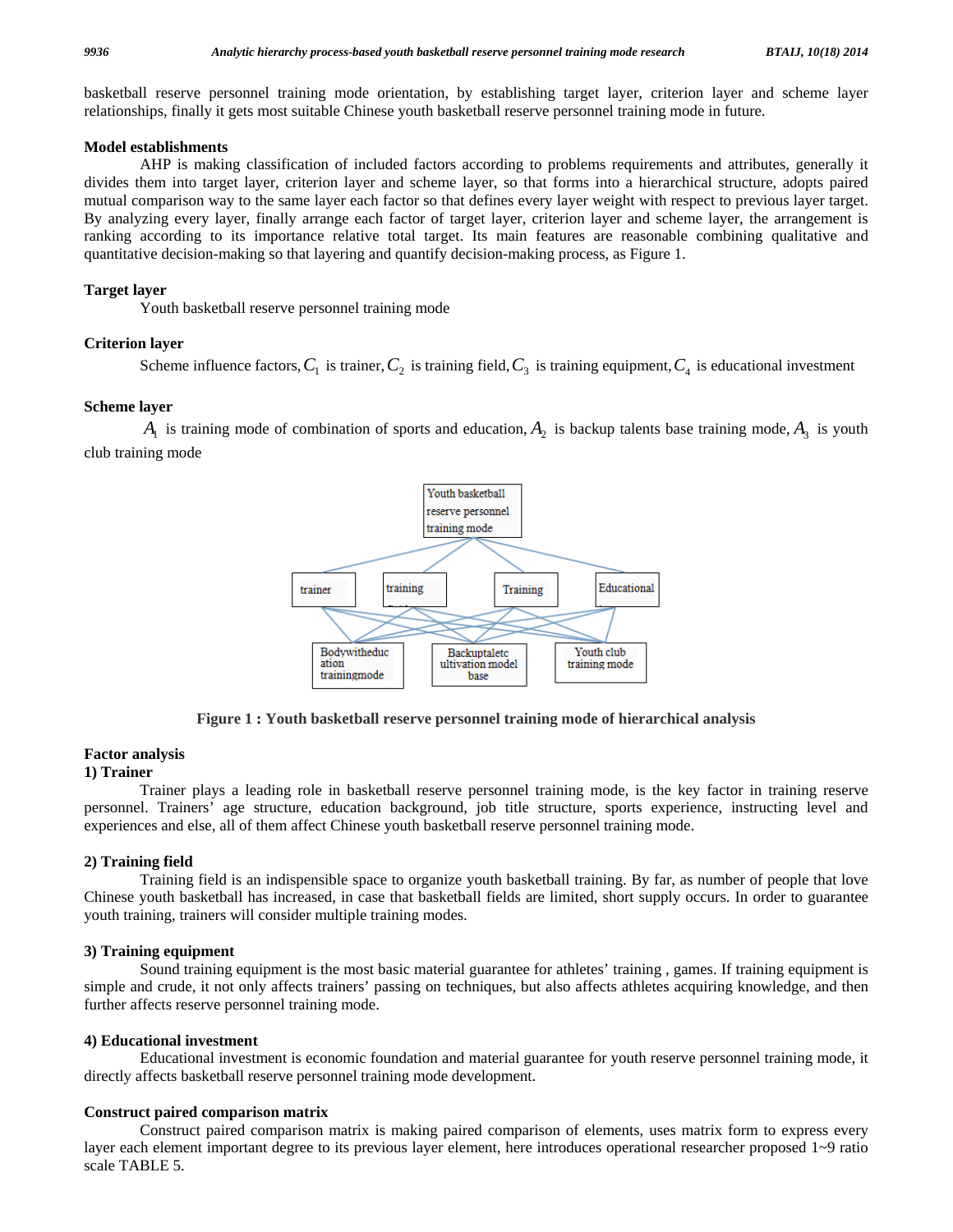basketball reserve personnel training mode orientation, by establishing target layer, criterion layer and scheme layer relationships, finally it gets most suitable Chinese youth basketball reserve personnel training mode in future.

#### **Model establishments**

 AHP is making classification of included factors according to problems requirements and attributes, generally it divides them into target layer, criterion layer and scheme layer, so that forms into a hierarchical structure, adopts paired mutual comparison way to the same layer each factor so that defines every layer weight with respect to previous layer target. By analyzing every layer, finally arrange each factor of target layer, criterion layer and scheme layer, the arrangement is ranking according to its importance relative total target. Its main features are reasonable combining qualitative and quantitative decision-making so that layering and quantify decision-making process, as Figure 1.

#### **Target layer**

Youth basketball reserve personnel training mode

#### **Criterion layer**

Scheme influence factors,  $C_1$  is trainer,  $C_2$  is training field,  $C_3$  is training equipment,  $C_4$  is educational investment

#### **Scheme layer**

 $A_1$  is training mode of combination of sports and education,  $A_2$  is backup talents base training mode,  $A_3$  is youth club training mode



**Figure 1 : Youth basketball reserve personnel training mode of hierarchical analysis** 

#### **Factor analysis**

#### **1) Trainer**

 Trainer plays a leading role in basketball reserve personnel training mode, is the key factor in training reserve personnel. Trainers' age structure, education background, job title structure, sports experience, instructing level and experiences and else, all of them affect Chinese youth basketball reserve personnel training mode.

#### **2) Training field**

 Training field is an indispensible space to organize youth basketball training. By far, as number of people that love Chinese youth basketball has increased, in case that basketball fields are limited, short supply occurs. In order to guarantee youth training, trainers will consider multiple training modes.

#### **3) Training equipment**

 Sound training equipment is the most basic material guarantee for athletes' training , games. If training equipment is simple and crude, it not only affects trainers' passing on techniques, but also affects athletes acquiring knowledge, and then further affects reserve personnel training mode.

#### **4) Educational investment**

 Educational investment is economic foundation and material guarantee for youth reserve personnel training mode, it directly affects basketball reserve personnel training mode development.

#### **Construct paired comparison matrix**

 Construct paired comparison matrix is making paired comparison of elements, uses matrix form to express every layer each element important degree to its previous layer element, here introduces operational researcher proposed 1~9 ratio scale TABLE 5.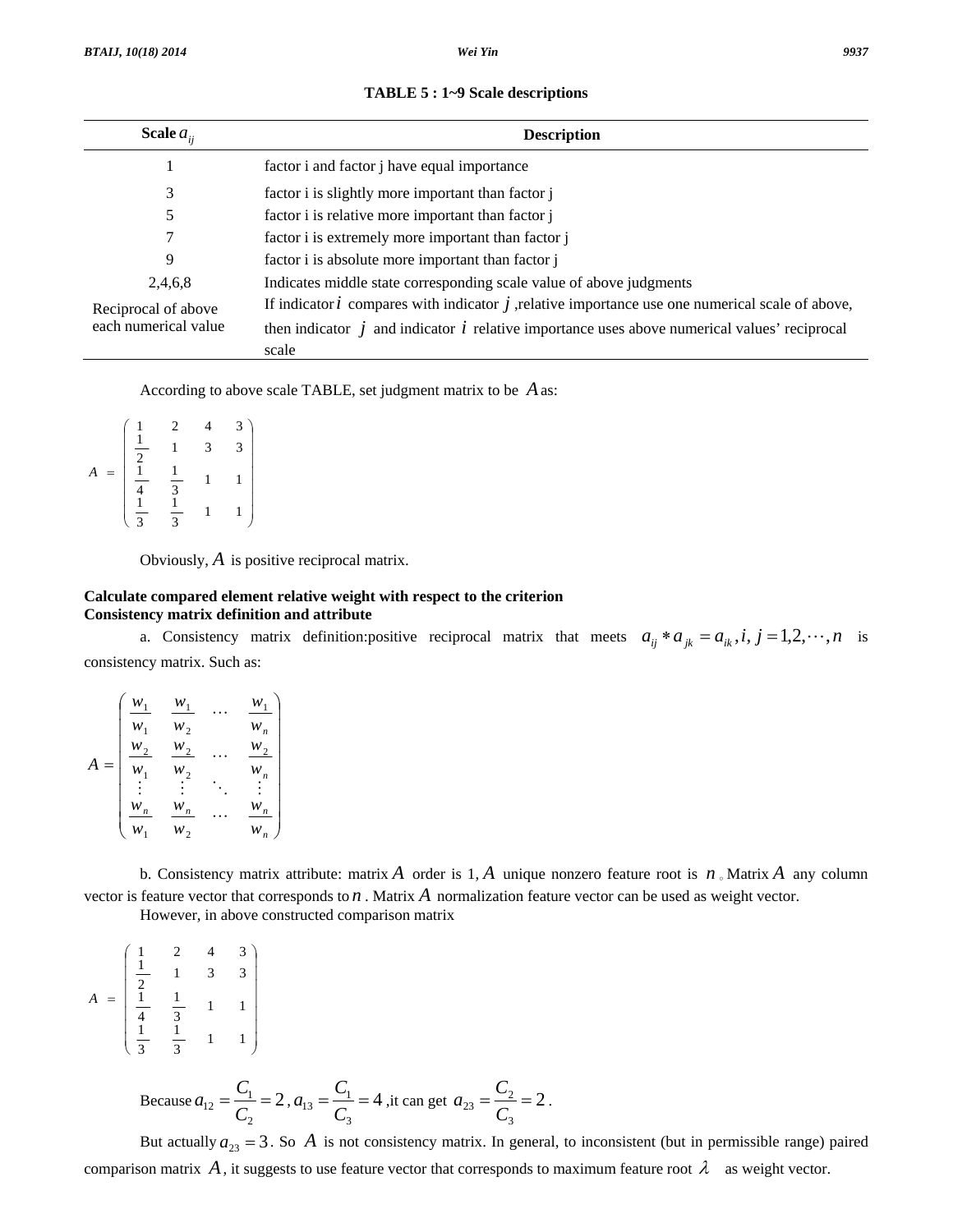| Scale $a_{ii}$       | <b>Description</b>                                                                                           |  |  |  |
|----------------------|--------------------------------------------------------------------------------------------------------------|--|--|--|
|                      | factor i and factor j have equal importance                                                                  |  |  |  |
| 3                    | factor i is slightly more important than factor j                                                            |  |  |  |
| 5                    | factor i is relative more important than factor j                                                            |  |  |  |
|                      | factor i is extremely more important than factor j                                                           |  |  |  |
| 9                    | factor i is absolute more important than factor j                                                            |  |  |  |
| 2,4,6,8              | Indicates middle state corresponding scale value of above judgments                                          |  |  |  |
| Reciprocal of above  | If indicator $i$ compares with indicator $j$ , relative importance use one numerical scale of above,         |  |  |  |
| each numerical value | then indicator $\dot{j}$ and indicator $\dot{i}$ relative importance uses above numerical values' reciprocal |  |  |  |
|                      | scale                                                                                                        |  |  |  |

|  |  |  |  | TABLE 5 : 1~9 Scale descriptions |
|--|--|--|--|----------------------------------|
|--|--|--|--|----------------------------------|

According to above scale TABLE, set judgment matrix to be *A*as:

$$
A = \begin{pmatrix} \frac{1}{2} & 2 & 4 & 3 \\ \frac{1}{2} & 1 & 3 & 3 \\ \frac{1}{4} & \frac{1}{3} & 1 & 1 \\ \frac{1}{3} & \frac{1}{3} & 1 & 1 \end{pmatrix}
$$

Obviously, *A* is positive reciprocal matrix.

#### **Calculate compared element relative weight with respect to the criterion Consistency matrix definition and attribute**

a. Consistency matrix definition: positive reciprocal matrix that meets  $a_{ij} * a_{jk} = a_{ik}, i, j = 1, 2, \dots, n$  is consistency matrix. Such as:

|     | $W_1$              | $W_1$              | $W_1$                 |
|-----|--------------------|--------------------|-----------------------|
|     | $W_1$              | $w_{2}$            | $W_n$                 |
|     | $\boldsymbol{w}_2$ | $W_2$              | $W_2$                 |
| $=$ | $W_1$              | $W_2$              | $W_n$                 |
|     |                    |                    |                       |
|     | $W_{n}$            | $\boldsymbol{w}_n$ | $W_n$                 |
|     | $W_1$              | $w_{2}$            | w<br>$\boldsymbol{n}$ |

 b. Consistency matrix attribute: matrix *A* order is 1, *A* unique nonzero feature root is *n* 。Matrix *A* any column vector is feature vector that corresponds to *n* . Matrix *A* normalization feature vector can be used as weight vector. However, in above constructed comparison matrix

 $\overline{\phantom{a}}$  $\overline{\phantom{a}}$  $\overline{\phantom{a}}$  $\overline{\phantom{a}}$  $\overline{\phantom{a}}$  $\overline{\phantom{a}}$ ⎟ ⎠ ⎞  $\mathsf I$  $\overline{\phantom{a}}$  $\mathsf I$  $\mathsf I$  $\mathsf I$  $\mathsf I$ ⎜ ⎝ ⎛ =  $\frac{1}{3}$  1 1 1 3 1  $\frac{1}{3}$  1 1 1 4 1  $\frac{1}{2}$  1 3 3 1 1 2 4 3 *A*

Because 
$$
a_{12} = \frac{C_1}{C_2} = 2
$$
,  $a_{13} = \frac{C_1}{C_3} = 4$ , it can get  $a_{23} = \frac{C_2}{C_3} = 2$ .

But actually  $a_{23} = 3$ . So A is not consistency matrix. In general, to inconsistent (but in permissible range) paired comparison matrix A, it suggests to use feature vector that corresponds to maximum feature root  $\lambda$  as weight vector.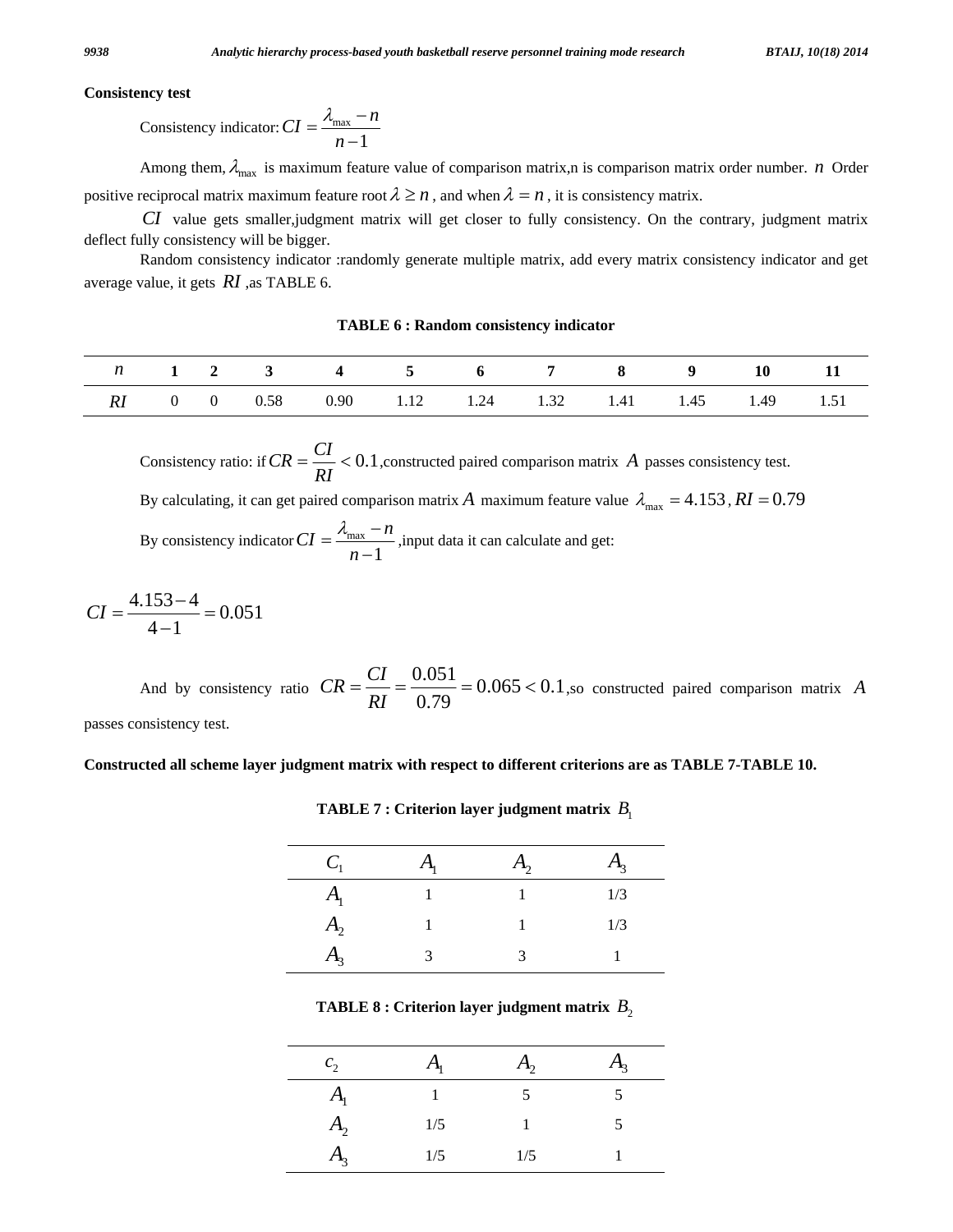#### **Consistency test**

Consistency indicator: 
$$
CI = \frac{\lambda_{\text{max}} - n}{n - 1}
$$

Among them,  $\lambda_{\text{max}}$  is maximum feature value of comparison matrix,n is comparison matrix order number. *n* Order positive reciprocal matrix maximum feature root  $\lambda \geq n$ , and when  $\lambda = n$ , it is consistency matrix.

*CI* value gets smaller,judgment matrix will get closer to fully consistency. On the contrary, judgment matrix deflect fully consistency will be bigger.

 Random consistency indicator :randomly generate multiple matrix, add every matrix consistency indicator and get average value, it gets *RI* ,as TABLE 6.

**TABLE 6 : Random consistency indicator** 

|  |  | n 1 2 3 4 5 6 7 8 9 10 11                           |  |  |  |  |
|--|--|-----------------------------------------------------|--|--|--|--|
|  |  | RI 0 0 0.58 0.90 1.12 1.24 1.32 1.41 1.45 1.49 1.51 |  |  |  |  |

Consistency ratio: if  $CR = \frac{C_I}{R} < 0.1$ *RI*  $CR = \frac{CI}{25} < 0.1$ , constructed paired comparison matrix *A* passes consistency test. By calculating, it can get paired comparison matrix *A* maximum feature value  $\lambda_{\text{max}} = 4.153$ ,  $RI = 0.79$ 

By consistency indicator  $CI = \frac{\lambda_{\text{max}}}{\lambda_{\text{max}}}$ 1  $CI = \frac{\lambda_{\text{max}} - n}{I}$  $=\frac{\lambda_{\text{max}}-n}{n-1}$ , input data it can calculate and get:

$$
CI = \frac{4.153 - 4}{4 - 1} = 0.051
$$

And by consistency ratio  $CR = \frac{C_I}{R} = \frac{0.051}{0.56} = 0.065 < 0.1$ 0.79  $\frac{CI}{C} = \frac{0.051}{0.05} = 0.065$ *RI*  $CR = \frac{CI}{R} = \frac{0.051}{0.78} = 0.065 < 0.1$ , so constructed paired comparison matrix *A* 

passes consistency test.

#### **Constructed all scheme layer judgment matrix with respect to different criterions are as TABLE 7-TABLE 10.**

| $C_{1}$        | $A_{1}$ | $A_{2}$ | $A_3$ |
|----------------|---------|---------|-------|
| $A_{1}$        |         |         | 1/3   |
| A <sub>2</sub> |         |         | 1/3   |
| $A_3$          |         |         |       |

**TABLE 7 : Criterion layer judgment matrix**  $B_1$ 

**TABLE 8 : Criterion layer judgment matrix**  $B_2$ 

| c <sub>2</sub> | A <sub>1</sub> | $A_{2}$       | $A_{3}$ |
|----------------|----------------|---------------|---------|
| $A_{1}$        |                | $\mathcal{D}$ |         |
| A <sub>2</sub> | 1/5            |               | 5       |
| $A_{3}$        | 1/5            | 1/5           |         |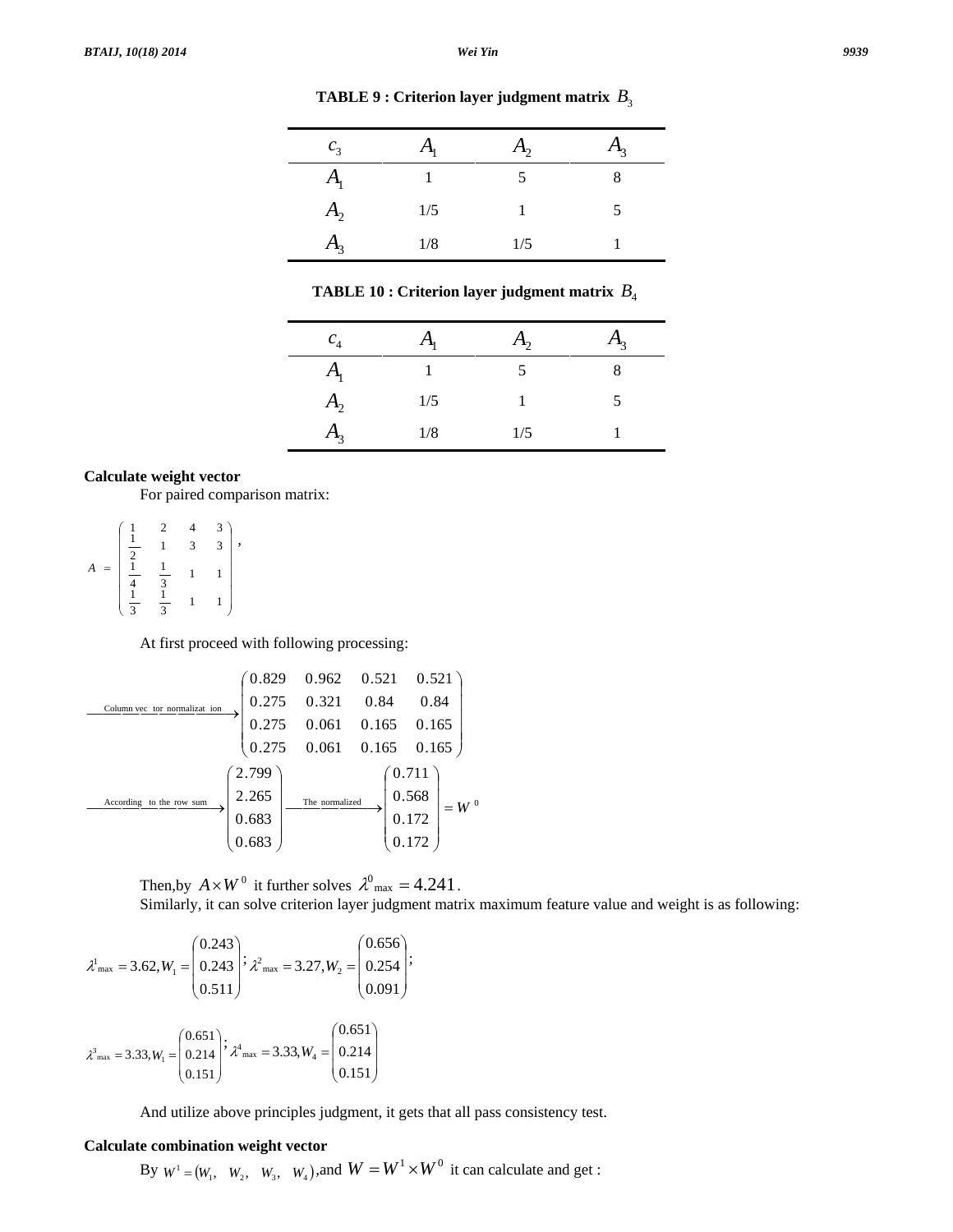| c <sub>3</sub> | $A_1$ | $A_2$ | $A_3$ |
|----------------|-------|-------|-------|
| $A_{1}$        |       |       |       |
| A <sub>2</sub> | 1/5   |       |       |
| A <sub>3</sub> | 1/8   | 1/5   |       |

**TABLE 9 : Criterion layer judgment matrix**  $B_3$ 

**TABLE 10 : Criterion layer judgment matrix** *B*<sup>4</sup>

| c <sub>4</sub> | $A_1$ | A <sub>2</sub> | $H_3$ |
|----------------|-------|----------------|-------|
| A <sub>1</sub> |       |                |       |
| A <sub>2</sub> | 1/5   |                |       |
| $A_3$          | 1/8   | 1/5            |       |

### **Calculate weight vector**

For paired comparison matrix:

⎟ ⎟ ⎟ ⎟ ⎟ ⎟ ⎟ ⎠ ⎞ ⎜ ⎜ ⎜ ⎜ ⎜ ⎜ ⎜ ⎝ ⎛ =  $\frac{1}{3}$  1 1 1 3 1  $\frac{1}{3}$  1 1 1 4 1  $\frac{1}{2}$  1 3 3  $\begin{array}{cccc} 1 & 2 & 4 & 3 \\ 1 & 1 & 2 & 3 \end{array}$ *A* ,

At first proceed with following processing:

According to the row sum The normalized 0 Column vec tor normalizat ion 0.172 0.172 0.568 0.711 0.683 0.683 2.265 2.799 0.275 0.061 0.165 0.165 0.275 0.061 0.165 0.165 0.275 0.321 0.84 0.84 0.829 0.962 0.521 0.521 = *W* ⎟ ⎟ ⎟ ⎟ ⎟ ⎠ ⎞ ⎜ ⎜ ⎜ ⎜ ⎜ ⎝ ⎛ ⎯⎯ → ⎯ ⎯⎯ ⎟ ⎟ ⎟ ⎟ ⎟ ⎠ ⎞ ⎜ ⎜ ⎜ ⎜ ⎜ ⎝ ⎛ ⎯⎯ → ⎯ ⎯ ⎯ ⎯⎯ ⎟ ⎟ ⎟ ⎟ ⎟ ⎠ ⎞ ⎜ ⎜ ⎜ ⎜ ⎜ ⎝ ⎛ ⎯⎯ → ⎯ ⎯ ⎯ ⎯ ⎯⎯

Then,by  $A \times W^0$  it further solves  $\lambda^0$ <sub>max</sub> = 4.241. Similarly, it can solve criterion layer judgment matrix maximum feature value and weight is as following:

$$
\lambda_{\max}^1 = 3.62, W_1 = \begin{pmatrix} 0.243 \\ 0.243 \\ 0.511 \end{pmatrix}; \lambda_{\max}^2 = 3.27, W_2 = \begin{pmatrix} 0.656 \\ 0.254 \\ 0.091 \end{pmatrix};
$$

$$
\lambda_{\max}^3 = 3.33, W_1 = \begin{pmatrix} 0.651 \\ 0.214 \\ 0.151 \end{pmatrix}; \lambda_{\max}^4 = 3.33, W_4 = \begin{pmatrix} 0.651 \\ 0.214 \\ 0.151 \end{pmatrix}
$$

And utilize above principles judgment, it gets that all pass consistency test.

### **Calculate combination weight vector**

By  $W^1 = (W_1, W_2, W_3, W_4)$ , and  $W = W^1 \times W^0$  it can calculate and get :